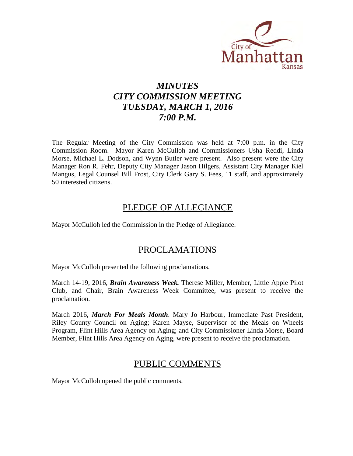

# *MINUTES CITY COMMISSION MEETING TUESDAY, MARCH 1, 2016 7:00 P.M.*

The Regular Meeting of the City Commission was held at 7:00 p.m. in the City Commission Room. Mayor Karen McCulloh and Commissioners Usha Reddi, Linda Morse, Michael L. Dodson, and Wynn Butler were present. Also present were the City Manager Ron R. Fehr, Deputy City Manager Jason Hilgers, Assistant City Manager Kiel Mangus, Legal Counsel Bill Frost, City Clerk Gary S. Fees, 11 staff, and approximately 50 interested citizens.

## PLEDGE OF ALLEGIANCE

Mayor McCulloh led the Commission in the Pledge of Allegiance.

# PROCLAMATIONS

Mayor McCulloh presented the following proclamations.

March 14-19, 2016, *Brain Awareness Week.* Therese Miller, Member, Little Apple Pilot Club, and Chair, Brain Awareness Week Committee, was present to receive the proclamation.

March 2016, *March For Meals Month*. Mary Jo Harbour, Immediate Past President, Riley County Council on Aging; Karen Mayse, Supervisor of the Meals on Wheels Program, Flint Hills Area Agency on Aging; and City Commissioner Linda Morse, Board Member, Flint Hills Area Agency on Aging, were present to receive the proclamation.

# PUBLIC COMMENTS

Mayor McCulloh opened the public comments.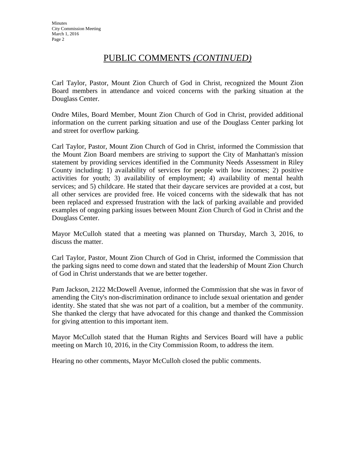# PUBLIC COMMENTS *(CONTINUED)*

Carl Taylor, Pastor, Mount Zion Church of God in Christ, recognized the Mount Zion Board members in attendance and voiced concerns with the parking situation at the Douglass Center.

Ondre Miles, Board Member, Mount Zion Church of God in Christ, provided additional information on the current parking situation and use of the Douglass Center parking lot and street for overflow parking.

Carl Taylor, Pastor, Mount Zion Church of God in Christ, informed the Commission that the Mount Zion Board members are striving to support the City of Manhattan's mission statement by providing services identified in the Community Needs Assessment in Riley County including: 1) availability of services for people with low incomes; 2) positive activities for youth; 3) availability of employment; 4) availability of mental health services; and 5) childcare. He stated that their daycare services are provided at a cost, but all other services are provided free. He voiced concerns with the sidewalk that has not been replaced and expressed frustration with the lack of parking available and provided examples of ongoing parking issues between Mount Zion Church of God in Christ and the Douglass Center.

Mayor McCulloh stated that a meeting was planned on Thursday, March 3, 2016, to discuss the matter.

Carl Taylor, Pastor, Mount Zion Church of God in Christ, informed the Commission that the parking signs need to come down and stated that the leadership of Mount Zion Church of God in Christ understands that we are better together.

Pam Jackson, 2122 McDowell Avenue, informed the Commission that she was in favor of amending the City's non-discrimination ordinance to include sexual orientation and gender identity. She stated that she was not part of a coalition, but a member of the community. She thanked the clergy that have advocated for this change and thanked the Commission for giving attention to this important item.

Mayor McCulloh stated that the Human Rights and Services Board will have a public meeting on March 10, 2016, in the City Commission Room, to address the item.

Hearing no other comments, Mayor McCulloh closed the public comments.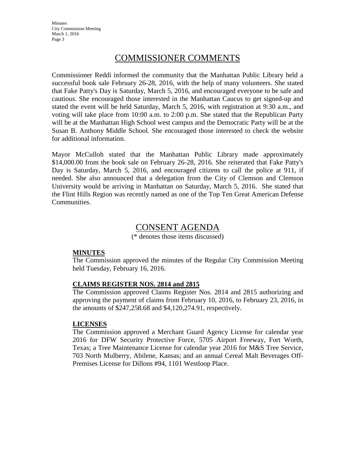**Minutes** City Commission Meeting March 1, 2016 Page 3

## COMMISSIONER COMMENTS

Commissioner Reddi informed the community that the Manhattan Public Library held a successful book sale February 26-28, 2016, with the help of many volunteers. She stated that Fake Patty's Day is Saturday, March 5, 2016, and encouraged everyone to be safe and cautious. She encouraged those interested in the Manhattan Caucus to get signed-up and stated the event will be held Saturday, March 5, 2016, with registration at 9:30 a.m., and voting will take place from 10:00 a.m. to 2:00 p.m. She stated that the Republican Party will be at the Manhattan High School west campus and the Democratic Party will be at the Susan B. Anthony Middle School. She encouraged those interested to check the website for additional information.

Mayor McCulloh stated that the Manhattan Public Library made approximately \$14,000.00 from the book sale on February 26-28, 2016. She reiterated that Fake Patty's Day is Saturday, March 5, 2016, and encouraged citizens to call the police at 911, if needed. She also announced that a delegation from the City of Clemson and Clemson University would be arriving in Manhattan on Saturday, March 5, 2016. She stated that the Flint Hills Region was recently named as one of the Top Ten Great American Defense Communities.

## CONSENT AGENDA

(\* denotes those items discussed)

#### **MINUTES**

The Commission approved the minutes of the Regular City Commission Meeting held Tuesday, February 16, 2016.

#### **CLAIMS REGISTER NOS. 2814 and 2815**

The Commission approved Claims Register Nos. 2814 and 2815 authorizing and approving the payment of claims from February 10, 2016, to February 23, 2016, in the amounts of \$247,258.68 and \$4,120,274.91, respectively.

#### **LICENSES**

The Commission approved a Merchant Guard Agency License for calendar year 2016 for DFW Security Protective Force, 5705 Airport Freeway, Fort Worth, Texas; a Tree Maintenance License for calendar year 2016 for M&S Tree Service, 703 North Mulberry, Abilene, Kansas; and an annual Cereal Malt Beverages Off-Premises License for Dillons #94, 1101 Westloop Place.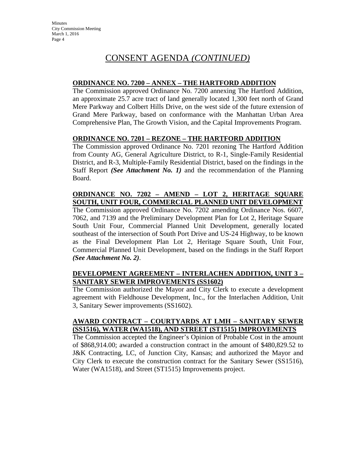#### **ORDINANCE NO. 7200 – ANNEX – THE HARTFORD ADDITION**

The Commission approved Ordinance No. 7200 annexing The Hartford Addition, an approximate 25.7 acre tract of land generally located 1,300 feet north of Grand Mere Parkway and Colbert Hills Drive, on the west side of the future extension of Grand Mere Parkway, based on conformance with the Manhattan Urban Area Comprehensive Plan, The Growth Vision, and the Capital Improvements Program.

#### **ORDINANCE NO. 7201 – REZONE – THE HARTFORD ADDITION**

The Commission approved Ordinance No. 7201 rezoning The Hartford Addition from County AG, General Agriculture District, to R-1, Single-Family Residential District, and R-3, Multiple-Family Residential District, based on the findings in the Staff Report *(See Attachment No. 1)* and the recommendation of the Planning Board.

### **ORDINANCE NO. 7202 – AMEND – LOT 2, HERITAGE SQUARE SOUTH, UNIT FOUR, COMMERCIAL PLANNED UNIT DEVELOPMENT**

The Commission approved Ordinance No. 7202 amending Ordinance Nos. 6607, 7062, and 7139 and the Preliminary Development Plan for Lot 2, Heritage Square South Unit Four, Commercial Planned Unit Development, generally located southeast of the intersection of South Port Drive and US-24 Highway, to be known as the Final Development Plan Lot 2, Heritage Square South, Unit Four, Commercial Planned Unit Development, based on the findings in the Staff Report *(See Attachment No. 2)*.

### **DEVELOPMENT AGREEMENT – INTERLACHEN ADDITION, UNIT 3 – SANITARY SEWER IMPROVEMENTS (SS1602)**

The Commission authorized the Mayor and City Clerk to execute a development agreement with Fieldhouse Development, Inc., for the Interlachen Addition, Unit 3, Sanitary Sewer improvements (SS1602).

#### **AWARD CONTRACT – COURTYARDS AT LMH – SANITARY SEWER (SS1516), WATER (WA1518), AND STREET (ST1515) IMPROVEMENTS**

The Commission accepted the Engineer's Opinion of Probable Cost in the amount of \$868,914.00; awarded a construction contract in the amount of \$480,829.52 to J&K Contracting, LC, of Junction City, Kansas; and authorized the Mayor and City Clerk to execute the construction contract for the Sanitary Sewer (SS1516), Water (WA1518), and Street (ST1515) Improvements project.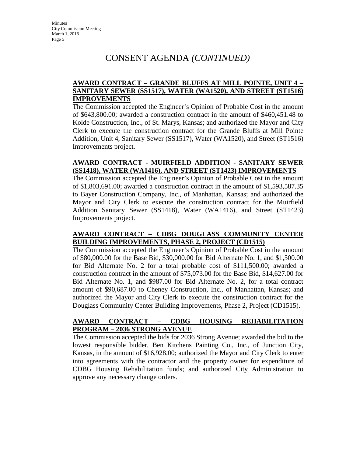#### **AWARD CONTRACT – GRANDE BLUFFS AT MILL POINTE, UNIT 4 – SANITARY SEWER (SS1517), WATER (WA1520), AND STREET (ST1516) IMPROVEMENTS**

The Commission accepted the Engineer's Opinion of Probable Cost in the amount of \$643,800.00; awarded a construction contract in the amount of \$460,451.48 to Kolde Construction, Inc., of St. Marys, Kansas; and authorized the Mayor and City Clerk to execute the construction contract for the Grande Bluffs at Mill Pointe Addition, Unit 4, Sanitary Sewer (SS1517), Water (WA1520), and Street (ST1516) Improvements project.

#### **AWARD CONTRACT - MUIRFIELD ADDITION - SANITARY SEWER (SS1418), WATER (WA1416), AND STREET (ST1423) IMPROVEMENTS**

The Commission accepted the Engineer's Opinion of Probable Cost in the amount of \$1,803,691.00; awarded a construction contract in the amount of \$1,593,587.35 to Bayer Construction Company, Inc., of Manhattan, Kansas; and authorized the Mayor and City Clerk to execute the construction contract for the Muirfield Addition Sanitary Sewer (SS1418), Water (WA1416), and Street (ST1423) Improvements project.

#### **AWARD CONTRACT – CDBG DOUGLASS COMMUNITY CENTER BUILDING IMPROVEMENTS, PHASE 2, PROJECT (CD1515)**

The Commission accepted the Engineer's Opinion of Probable Cost in the amount of \$80,000.00 for the Base Bid, \$30,000.00 for Bid Alternate No. 1, and \$1,500.00 for Bid Alternate No. 2 for a total probable cost of \$111,500.00; awarded a construction contract in the amount of \$75,073.00 for the Base Bid, \$14,627.00 for Bid Alternate No. 1, and \$987.00 for Bid Alternate No. 2, for a total contract amount of \$90,687.00 to Cheney Construction, Inc., of Manhattan, Kansas; and authorized the Mayor and City Clerk to execute the construction contract for the Douglass Community Center Building Improvements, Phase 2, Project (CD1515).

### **AWARD CONTRACT – CDBG HOUSING REHABILITATION PROGRAM – 2036 STRONG AVENUE**

The Commission accepted the bids for 2036 Strong Avenue; awarded the bid to the lowest responsible bidder, Ben Kitchens Painting Co., Inc., of Junction City, Kansas, in the amount of \$16,928.00; authorized the Mayor and City Clerk to enter into agreements with the contractor and the property owner for expenditure of CDBG Housing Rehabilitation funds; and authorized City Administration to approve any necessary change orders.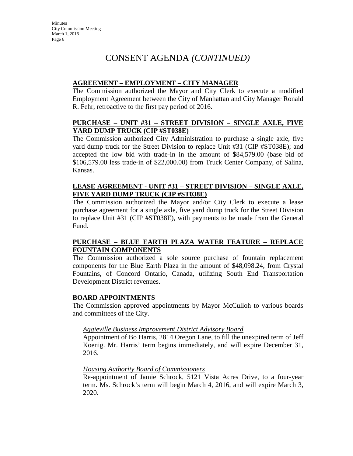### **AGREEMENT – EMPLOYMENT – CITY MANAGER**

The Commission authorized the Mayor and City Clerk to execute a modified Employment Agreement between the City of Manhattan and City Manager Ronald R. Fehr, retroactive to the first pay period of 2016.

### **PURCHASE – UNIT #31 – STREET DIVISION – SINGLE AXLE, FIVE YARD DUMP TRUCK (CIP #ST038E)**

The Commission authorized City Administration to purchase a single axle, five yard dump truck for the Street Division to replace Unit #31 (CIP #ST038E); and accepted the low bid with trade-in in the amount of \$84,579.00 (base bid of \$106,579.00 less trade-in of \$22,000.00) from Truck Center Company, of Salina, Kansas.

#### **LEASE AGREEMENT - UNIT #31 – STREET DIVISION – SINGLE AXLE, FIVE YARD DUMP TRUCK (CIP #ST038E)**

The Commission authorized the Mayor and/or City Clerk to execute a lease purchase agreement for a single axle, five yard dump truck for the Street Division to replace Unit #31 (CIP #ST038E), with payments to be made from the General Fund.

#### **PURCHASE – BLUE EARTH PLAZA WATER FEATURE – REPLACE FOUNTAIN COMPONENTS**

The Commission authorized a sole source purchase of fountain replacement components for the Blue Earth Plaza in the amount of \$48,098.24, from Crystal Fountains, of Concord Ontario, Canada, utilizing South End Transportation Development District revenues.

#### **BOARD APPOINTMENTS**

The Commission approved appointments by Mayor McCulloh to various boards and committees of the City.

#### *Aggieville Business Improvement District Advisory Board*

Appointment of Bo Harris, 2814 Oregon Lane, to fill the unexpired term of Jeff Koenig. Mr. Harris' term begins immediately, and will expire December 31, 2016.

#### *Housing Authority Board of Commissioners*

Re-appointment of Jamie Schrock, 5121 Vista Acres Drive, to a four-year term. Ms. Schrock's term will begin March 4, 2016, and will expire March 3, 2020.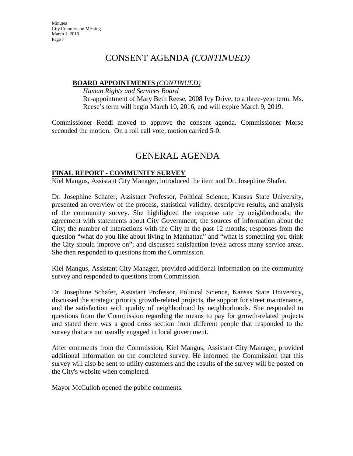#### **BOARD APPOINTMENTS** *(CONTINUED)*

*Human Rights and Services Board* Re-appointment of Mary Beth Reese, 2008 Ivy Drive, to a three-year term. Ms. Reese's term will begin March 10, 2016, and will expire March 9, 2019.

Commissioner Reddi moved to approve the consent agenda. Commissioner Morse seconded the motion. On a roll call vote, motion carried 5-0.

# GENERAL AGENDA

#### **FINAL REPORT - COMMUNITY SURVEY**

Kiel Mangus, Assistant City Manager, introduced the item and Dr. Josephine Shafer.

Dr. Josephine Schafer, Assistant Professor, Political Science, Kansas State University, presented an overview of the process, statistical validity, descriptive results, and analysis of the community survey. She highlighted the response rate by neighborhoods; the agreement with statements about City Government; the sources of information about the City; the number of interactions with the City in the past 12 months; responses from the question "what do you like about living in Manhattan" and "what is something you think the City should improve on"; and discussed satisfaction levels across many service areas. She then responded to questions from the Commission.

Kiel Mangus, Assistant City Manager, provided additional information on the community survey and responded to questions from Commission.

Dr. Josephine Schafer, Assistant Professor, Political Science, Kansas State University, discussed the strategic priority growth-related projects, the support for street maintenance, and the satisfaction with quality of neighborhood by neighborhoods. She responded to questions from the Commission regarding the means to pay for growth-related projects and stated there was a good cross section from different people that responded to the survey that are not usually engaged in local government.

After comments from the Commission, Kiel Mangus, Assistant City Manager, provided additional information on the completed survey. He informed the Commission that this survey will also be sent to utility customers and the results of the survey will be posted on the City's website when completed.

Mayor McCulloh opened the public comments.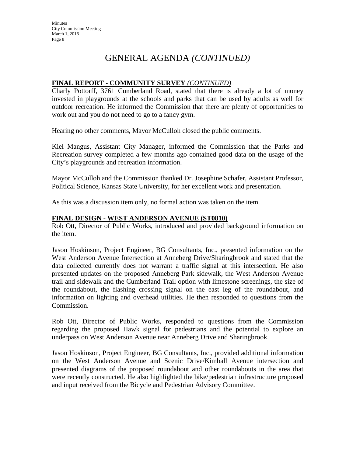# GENERAL AGENDA *(CONTINUED)*

### **FINAL REPORT - COMMUNITY SURVEY** *(CONTINUED)*

Charly Pottorff, 3761 Cumberland Road, stated that there is already a lot of money invested in playgrounds at the schools and parks that can be used by adults as well for outdoor recreation. He informed the Commission that there are plenty of opportunities to work out and you do not need to go to a fancy gym.

Hearing no other comments, Mayor McCulloh closed the public comments.

Kiel Mangus, Assistant City Manager, informed the Commission that the Parks and Recreation survey completed a few months ago contained good data on the usage of the City's playgrounds and recreation information.

Mayor McCulloh and the Commission thanked Dr. Josephine Schafer, Assistant Professor, Political Science, Kansas State University, for her excellent work and presentation.

As this was a discussion item only, no formal action was taken on the item.

#### **FINAL DESIGN - WEST ANDERSON AVENUE (ST0810)**

Rob Ott, Director of Public Works, introduced and provided background information on the item.

Jason Hoskinson, Project Engineer, BG Consultants, Inc., presented information on the West Anderson Avenue Intersection at Anneberg Drive/Sharingbrook and stated that the data collected currently does not warrant a traffic signal at this intersection. He also presented updates on the proposed Anneberg Park sidewalk, the West Anderson Avenue trail and sidewalk and the Cumberland Trail option with limestone screenings, the size of the roundabout, the flashing crossing signal on the east leg of the roundabout, and information on lighting and overhead utilities. He then responded to questions from the Commission.

Rob Ott, Director of Public Works, responded to questions from the Commission regarding the proposed Hawk signal for pedestrians and the potential to explore an underpass on West Anderson Avenue near Anneberg Drive and Sharingbrook.

Jason Hoskinson, Project Engineer, BG Consultants, Inc., provided additional information on the West Anderson Avenue and Scenic Drive/Kimball Avenue intersection and presented diagrams of the proposed roundabout and other roundabouts in the area that were recently constructed. He also highlighted the bike/pedestrian infrastructure proposed and input received from the Bicycle and Pedestrian Advisory Committee.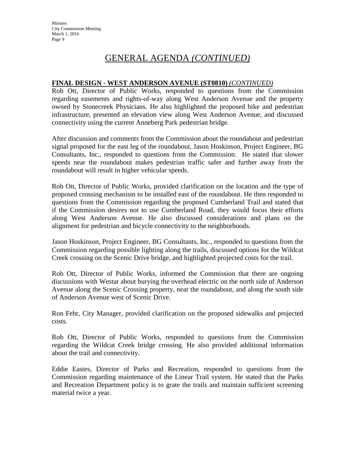# GENERAL AGENDA *(CONTINUED)*

### **FINAL DESIGN - WEST ANDERSON AVENUE (ST0810)** *(CONTINUED)*

Rob Ott, Director of Public Works, responded to questions from the Commission regarding easements and rights-of-way along West Anderson Avenue and the property owned by Stonecreek Physicians. He also highlighted the proposed bike and pedestrian infrastructure, presented an elevation view along West Anderson Avenue, and discussed connectivity using the current Anneberg Park pedestrian bridge.

After discussion and comments from the Commission about the roundabout and pedestrian signal proposed for the east leg of the roundabout, Jason Hoskinson, Project Engineer, BG Consultants, Inc., responded to questions from the Commission. He stated that slower speeds near the roundabout makes pedestrian traffic safer and further away from the roundabout will result in higher vehicular speeds.

Rob Ott, Director of Public Works, provided clarification on the location and the type of proposed crossing mechanism to be installed east of the roundabout. He then responded to questions from the Commission regarding the proposed Cumberland Trail and stated that if the Commission desires not to use Cumberland Road, they would focus their efforts along West Anderson Avenue. He also discussed considerations and plans on the alignment for pedestrian and bicycle connectivity to the neighborhoods.

Jason Hoskinson, Project Engineer, BG Consultants, Inc., responded to questions from the Commission regarding possible lighting along the trails, discussed options for the Wildcat Creek crossing on the Scenic Drive bridge, and highlighted projected costs for the trail.

Rob Ott, Director of Public Works, informed the Commission that there are ongoing discussions with Westar about burying the overhead electric on the north side of Anderson Avenue along the Scenic Crossing property, near the roundabout, and along the south side of Anderson Avenue west of Scenic Drive.

Ron Fehr, City Manager, provided clarification on the proposed sidewalks and projected costs.

Rob Ott, Director of Public Works, responded to questions from the Commission regarding the Wildcat Creek bridge crossing. He also provided additional information about the trail and connectivity.

Eddie Eastes, Director of Parks and Recreation, responded to questions from the Commission regarding maintenance of the Linear Trail system. He stated that the Parks and Recreation Department policy is to grate the trails and maintain sufficient screening material twice a year.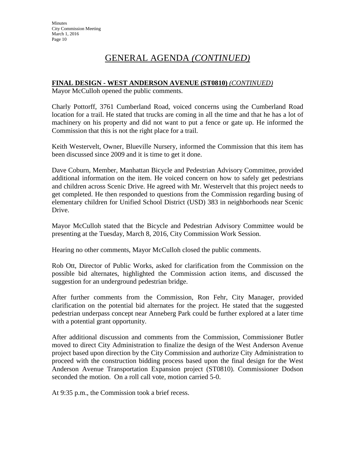# GENERAL AGENDA *(CONTINUED)*

#### **FINAL DESIGN - WEST ANDERSON AVENUE (ST0810)** *(CONTINUED)*

Mayor McCulloh opened the public comments.

Charly Pottorff, 3761 Cumberland Road, voiced concerns using the Cumberland Road location for a trail. He stated that trucks are coming in all the time and that he has a lot of machinery on his property and did not want to put a fence or gate up. He informed the Commission that this is not the right place for a trail.

Keith Westervelt, Owner, Blueville Nursery, informed the Commission that this item has been discussed since 2009 and it is time to get it done.

Dave Coburn, Member, Manhattan Bicycle and Pedestrian Advisory Committee, provided additional information on the item. He voiced concern on how to safely get pedestrians and children across Scenic Drive. He agreed with Mr. Westervelt that this project needs to get completed. He then responded to questions from the Commission regarding busing of elementary children for Unified School District (USD) 383 in neighborhoods near Scenic Drive.

Mayor McCulloh stated that the Bicycle and Pedestrian Advisory Committee would be presenting at the Tuesday, March 8, 2016, City Commission Work Session.

Hearing no other comments, Mayor McCulloh closed the public comments.

Rob Ott, Director of Public Works, asked for clarification from the Commission on the possible bid alternates, highlighted the Commission action items, and discussed the suggestion for an underground pedestrian bridge.

After further comments from the Commission, Ron Fehr, City Manager, provided clarification on the potential bid alternates for the project. He stated that the suggested pedestrian underpass concept near Anneberg Park could be further explored at a later time with a potential grant opportunity.

After additional discussion and comments from the Commission, Commissioner Butler moved to direct City Administration to finalize the design of the West Anderson Avenue project based upon direction by the City Commission and authorize City Administration to proceed with the construction bidding process based upon the final design for the West Anderson Avenue Transportation Expansion project (ST0810). Commissioner Dodson seconded the motion. On a roll call vote, motion carried 5-0.

At 9:35 p.m., the Commission took a brief recess.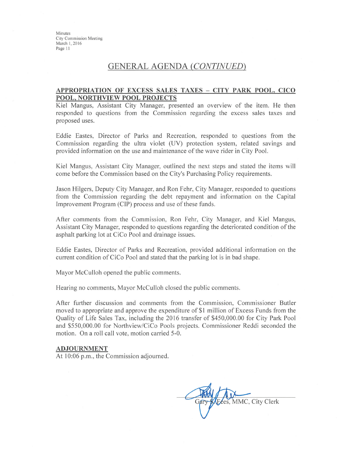Minutes **City Commission Meeting** March 1, 2016 Page 11

### **GENERAL AGENDA (CONTINUED)**

#### APPROPRIATION OF EXCESS SALES TAXES - CITY PARK POOL, CICO POOL, NORTHVIEW POOL PROJECTS

Kiel Mangus, Assistant City Manager, presented an overview of the item. He then responded to questions from the Commission regarding the excess sales taxes and proposed uses.

Eddie Eastes, Director of Parks and Recreation, responded to questions from the Commission regarding the ultra violet (UV) protection system, related savings and provided information on the use and maintenance of the wave rider in City Pool.

Kiel Mangus, Assistant City Manager, outlined the next steps and stated the items will come before the Commission based on the City's Purchasing Policy requirements.

Jason Hilgers, Deputy City Manager, and Ron Fehr, City Manager, responded to questions from the Commission regarding the debt repayment and information on the Capital Improvement Program (CIP) process and use of these funds.

After comments from the Commission, Ron Fehr, City Manager, and Kiel Mangus, Assistant City Manager, responded to questions regarding the deteriorated condition of the asphalt parking lot at CiCo Pool and drainage issues.

Eddie Eastes, Director of Parks and Recreation, provided additional information on the current condition of CiCo Pool and stated that the parking lot is in bad shape.

Mayor McCulloh opened the public comments.

Hearing no comments, Mayor McCulloh closed the public comments.

After further discussion and comments from the Commission, Commissioner Butler moved to appropriate and approve the expenditure of \$1 million of Excess Funds from the Quality of Life Sales Tax, including the 2016 transfer of \$450,000.00 for City Park Pool and \$550,000.00 for Northview/CiCo Pools projects. Commissioner Reddi seconded the motion. On a roll call vote, motion carried 5-0.

#### **ADJOURNMENT**

At 10:06 p.m., the Commission adjourned.

Fees, MMC, City Clerk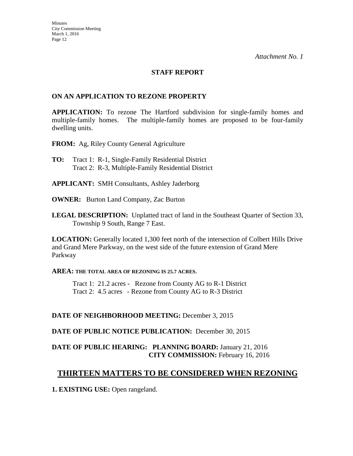#### **STAFF REPORT**

#### **ON AN APPLICATION TO REZONE PROPERTY**

**APPLICATION:** To rezone The Hartford subdivision for single-family homes and multiple-family homes. The multiple-family homes are proposed to be four-family dwelling units.

**FROM:** Ag, Riley County General Agriculture

- **TO:** Tract 1:R-1, Single-Family Residential District Tract 2: R-3, Multiple-Family Residential District
- **APPLICANT:** SMH Consultants, Ashley Jaderborg
- **OWNER:** Burton Land Company, Zac Burton
- **LEGAL DESCRIPTION:** Unplatted tract of land in the Southeast Quarter of Section 33, Township 9 South, Range 7 East.

**LOCATION:** Generally located 1,300 feet north of the intersection of Colbert Hills Drive and Grand Mere Parkway, on the west side of the future extension of Grand Mere Parkway

#### **AREA: THE TOTAL AREA OF REZONING IS 25.7 ACRES.**

 Tract 1: 21.2 acres - Rezone from County AG to R-1 District Tract 2: 4.5 acres - Rezone from County AG to R-3 District

#### **DATE OF NEIGHBORHOOD MEETING:** December 3, 2015

**DATE OF PUBLIC NOTICE PUBLICATION:** December 30, 2015

## **DATE OF PUBLIC HEARING: PLANNING BOARD:** January 21, 2016 **CITY COMMISSION:** February 16, 2016

## **THIRTEEN MATTERS TO BE CONSIDERED WHEN REZONING**

**1. EXISTING USE:** Open rangeland.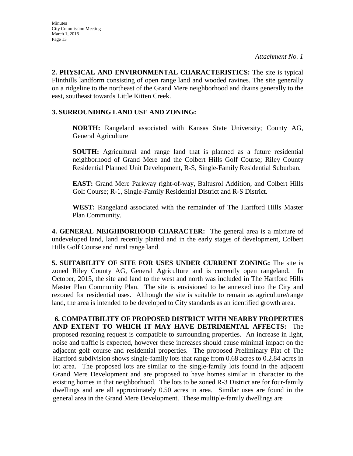**2. PHYSICAL AND ENVIRONMENTAL CHARACTERISTICS:** The site is typical Flinthills landform consisting of open range land and wooded ravines. The site generally on a ridgeline to the northeast of the Grand Mere neighborhood and drains generally to the east, southeast towards Little Kitten Creek.

#### **3. SURROUNDING LAND USE AND ZONING:**

**NORTH:** Rangeland associated with Kansas State University; County AG, General Agriculture

**SOUTH:** Agricultural and range land that is planned as a future residential neighborhood of Grand Mere and the Colbert Hills Golf Course; Riley County Residential Planned Unit Development, R-S, Single-Family Residential Suburban.

**EAST:** Grand Mere Parkway right-of-way, Baltusrol Addition, and Colbert Hills Golf Course; R-1, Single-Family Residential District and R-S District.

**WEST:** Rangeland associated with the remainder of The Hartford Hills Master Plan Community.

**4. GENERAL NEIGHBORHOOD CHARACTER:** The general area is a mixture of undeveloped land, land recently platted and in the early stages of development, Colbert Hills Golf Course and rural range land.

**5. SUITABILITY OF SITE FOR USES UNDER CURRENT ZONING:** The site is zoned Riley County AG, General Agriculture and is currently open rangeland. In October, 2015, the site and land to the west and north was included in The Hartford Hills Master Plan Community Plan. The site is envisioned to be annexed into the City and rezoned for residential uses. Although the site is suitable to remain as agriculture/range land, the area is intended to be developed to City standards as an identified growth area.

**6. COMPATIBILITY OF PROPOSED DISTRICT WITH NEARBY PROPERTIES AND EXTENT TO WHICH IT MAY HAVE DETRIMENTAL AFFECTS:** The proposed rezoning request is compatible to surrounding properties. An increase in light, noise and traffic is expected, however these increases should cause minimal impact on the adjacent golf course and residential properties. The proposed Preliminary Plat of The Hartford subdivision shows single-family lots that range from 0.68 acres to 0.2.84 acres in lot area. The proposed lots are similar to the single-family lots found in the adjacent Grand Mere Development and are proposed to have homes similar in character to the existing homes in that neighborhood. The lots to be zoned R-3 District are for four-family dwellings and are all approximately 0.50 acres in area. Similar uses are found in the general area in the Grand Mere Development. These multiple-family dwellings are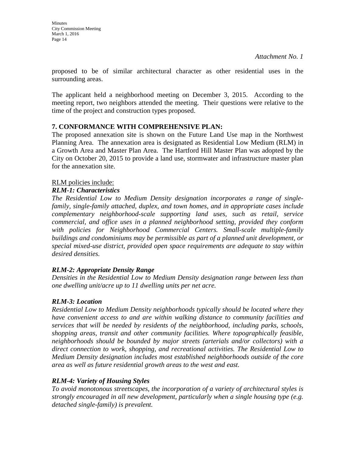proposed to be of similar architectural character as other residential uses in the surrounding areas.

The applicant held a neighborhood meeting on December 3, 2015. According to the meeting report, two neighbors attended the meeting. Their questions were relative to the time of the project and construction types proposed.

## **7. CONFORMANCE WITH COMPREHENSIVE PLAN:**

The proposed annexation site is shown on the Future Land Use map in the Northwest Planning Area. The annexation area is designated as Residential Low Medium (RLM) in a Growth Area and Master Plan Area. The Hartford Hill Master Plan was adopted by the City on October 20, 2015 to provide a land use, stormwater and infrastructure master plan for the annexation site.

### RLM policies include:

### *RLM-1: Characteristics*

*The Residential Low to Medium Density designation incorporates a range of singlefamily, single-family attached, duplex, and town homes, and in appropriate cases include complementary neighborhood-scale supporting land uses, such as retail, service commercial, and office uses in a planned neighborhood setting, provided they conform*  with policies for Neighborhood Commercial Centers. Small-scale multiple-family *buildings and condominiums may be permissible as part of a planned unit development, or special mixed-use district, provided open space requirements are adequate to stay within desired densities.* 

## *RLM-2: Appropriate Density Range*

*Densities in the Residential Low to Medium Density designation range between less than one dwelling unit/acre up to 11 dwelling units per net acre.* 

## *RLM-3: Location*

*Residential Low to Medium Density neighborhoods typically should be located where they have convenient access to and are within walking distance to community facilities and services that will be needed by residents of the neighborhood, including parks, schools, shopping areas, transit and other community facilities. Where topographically feasible, neighborhoods should be bounded by major streets (arterials and/or collectors) with a direct connection to work, shopping, and recreational activities. The Residential Low to Medium Density designation includes most established neighborhoods outside of the core area as well as future residential growth areas to the west and east.* 

## *RLM-4: Variety of Housing Styles*

*To avoid monotonous streetscapes, the incorporation of a variety of architectural styles is strongly encouraged in all new development, particularly when a single housing type (e.g. detached single-family) is prevalent.*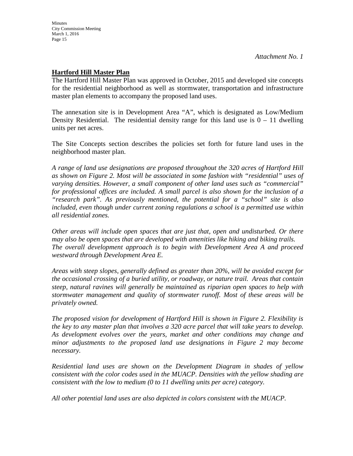#### **Hartford Hill Master Plan**

The Hartford Hill Master Plan was approved in October, 2015 and developed site concepts for the residential neighborhood as well as stormwater, transportation and infrastructure master plan elements to accompany the proposed land uses.

The annexation site is in Development Area "A", which is designated as Low/Medium Density Residential. The residential density range for this land use is  $0 - 11$  dwelling units per net acres.

The Site Concepts section describes the policies set forth for future land uses in the neighborhood master plan.

*A range of land use designations are proposed throughout the 320 acres of Hartford Hill as shown on Figure 2. Most will be associated in some fashion with "residential" uses of varying densities. However, a small component of other land uses such as "commercial" for professional offices are included. A small parcel is also shown for the inclusion of a "research park". As previously mentioned, the potential for a "school" site is also included, even though under current zoning regulations a school is a permitted use within all residential zones.* 

*Other areas will include open spaces that are just that, open and undisturbed. Or there may also be open spaces that are developed with amenities like hiking and biking trails. The overall development approach is to begin with Development Area A and proceed westward through Development Area E.* 

*Areas with steep slopes, generally defined as greater than 20%, will be avoided except for the occasional crossing of a buried utility, or roadway, or nature trail. Areas that contain steep, natural ravines will generally be maintained as riparian open spaces to help with stormwater management and quality of stormwater runoff. Most of these areas will be privately owned.* 

*The proposed vision for development of Hartford Hill is shown in Figure 2. Flexibility is the key to any master plan that involves a 320 acre parcel that will take years to develop. As development evolves over the years, market and other conditions may change and minor adjustments to the proposed land use designations in Figure 2 may become necessary.*

*Residential land uses are shown on the Development Diagram in shades of yellow consistent with the color codes used in the MUACP. Densities with the yellow shading are consistent with the low to medium (0 to 11 dwelling units per acre) category.* 

*All other potential land uses are also depicted in colors consistent with the MUACP.*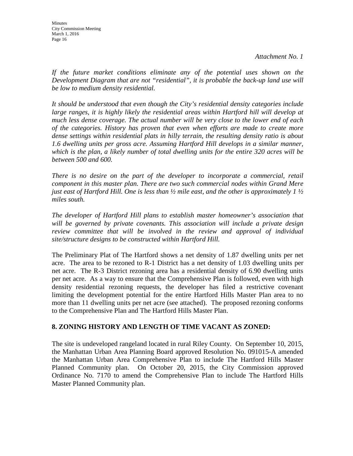*If the future market conditions eliminate any of the potential uses shown on the Development Diagram that are not "residential", it is probable the back-up land use will be low to medium density residential.* 

*It should be understood that even though the City's residential density categories include*  large ranges, it is highly likely the residential areas within Hartford hill will develop at *much less dense coverage. The actual number will be very close to the lower end of each of the categories. History has proven that even when efforts are made to create more dense settings within residential plats in hilly terrain, the resulting density ratio is about 1.6 dwelling units per gross acre. Assuming Hartford Hill develops in a similar manner, which is the plan, a likely number of total dwelling units for the entire 320 acres will be between 500 and 600.* 

*There is no desire on the part of the developer to incorporate a commercial, retail component in this master plan. There are two such commercial nodes within Grand Mere just east of Hartford Hill. One is less than ½ mile east, and the other is approximately 1 ½ miles south.* 

*The developer of Hartford Hill plans to establish master homeowner's association that will be governed by private covenants. This association will include a private design review committee that will be involved in the review and approval of individual site/structure designs to be constructed within Hartford Hill.*

The Preliminary Plat of The Hartford shows a net density of 1.87 dwelling units per net acre. The area to be rezoned to R-1 District has a net density of 1.03 dwelling units per net acre. The R-3 District rezoning area has a residential density of 6.90 dwelling units per net acre. As a way to ensure that the Comprehensive Plan is followed, even with high density residential rezoning requests, the developer has filed a restrictive covenant limiting the development potential for the entire Hartford Hills Master Plan area to no more than 11 dwelling units per net acre (see attached).The proposed rezoning conforms to the Comprehensive Plan and The Hartford Hills Master Plan.

#### **8. ZONING HISTORY AND LENGTH OF TIME VACANT AS ZONED:**

The site is undeveloped rangeland located in rural Riley County. On September 10, 2015, the Manhattan Urban Area Planning Board approved Resolution No. 091015-A amended the Manhattan Urban Area Comprehensive Plan to include The Hartford Hills Master Planned Community plan. On October 20, 2015, the City Commission approved Ordinance No. 7170 to amend the Comprehensive Plan to include The Hartford Hills Master Planned Community plan.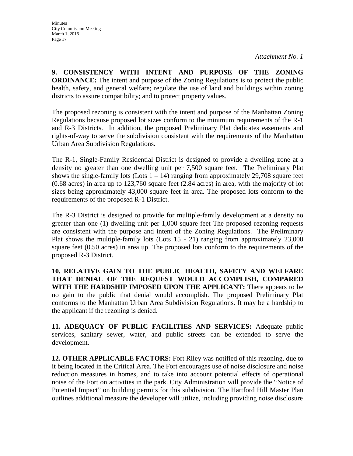**9. CONSISTENCY WITH INTENT AND PURPOSE OF THE ZONING ORDINANCE:** The intent and purpose of the Zoning Regulations is to protect the public health, safety, and general welfare; regulate the use of land and buildings within zoning districts to assure compatibility; and to protect property values.

The proposed rezoning is consistent with the intent and purpose of the Manhattan Zoning Regulations because proposed lot sizes conform to the minimum requirements of the R-1 and R-3 Districts. In addition, the proposed Preliminary Plat dedicates easements and rights-of-way to serve the subdivision consistent with the requirements of the Manhattan Urban Area Subdivision Regulations.

The R-1, Single-Family Residential District is designed to provide a dwelling zone at a density no greater than one dwelling unit per 7,500 square feet. The Preliminary Plat shows the single-family lots  $(Lots 1 - 14)$  ranging from approximately 29,708 square feet (0.68 acres) in area up to 123,760 square feet (2.84 acres) in area, with the majority of lot sizes being approximately 43,000 square feet in area. The proposed lots conform to the requirements of the proposed R-1 District.

The R-3 District is designed to provide for multiple-family development at a density no greater than one (1) dwelling unit per 1,000 square feet The proposed rezoning requests are consistent with the purpose and intent of the Zoning Regulations. The Preliminary Plat shows the multiple-family lots (Lots 15 - 21) ranging from approximately 23,000 square feet (0.50 acres) in area up. The proposed lots conform to the requirements of the proposed R-3 District.

**10. RELATIVE GAIN TO THE PUBLIC HEALTH, SAFETY AND WELFARE THAT DENIAL OF THE REQUEST WOULD ACCOMPLISH, COMPARED WITH THE HARDSHIP IMPOSED UPON THE APPLICANT:** There appears to be no gain to the public that denial would accomplish. The proposed Preliminary Plat conforms to the Manhattan Urban Area Subdivision Regulations. It may be a hardship to the applicant if the rezoning is denied.

**11. ADEQUACY OF PUBLIC FACILITIES AND SERVICES:** Adequate public services, sanitary sewer, water, and public streets can be extended to serve the development.

**12. OTHER APPLICABLE FACTORS:** Fort Riley was notified of this rezoning, due to it being located in the Critical Area. The Fort encourages use of noise disclosure and noise reduction measures in homes, and to take into account potential effects of operational noise of the Fort on activities in the park. City Administration will provide the "Notice of Potential Impact" on building permits for this subdivision. The Hartford Hill Master Plan outlines additional measure the developer will utilize, including providing noise disclosure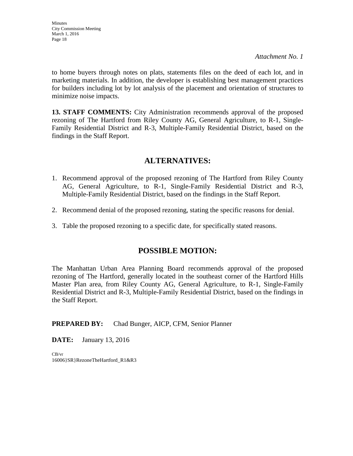to home buyers through notes on plats, statements files on the deed of each lot, and in marketing materials. In addition, the developer is establishing best management practices for builders including lot by lot analysis of the placement and orientation of structures to minimize noise impacts.

**13. STAFF COMMENTS:** City Administration recommends approval of the proposed rezoning of The Hartford from Riley County AG, General Agriculture, to R-1, Single-Family Residential District and R-3, Multiple-Family Residential District, based on the findings in the Staff Report.

## **ALTERNATIVES:**

- 1. Recommend approval of the proposed rezoning of The Hartford from Riley County AG, General Agriculture, to R-1, Single-Family Residential District and R-3, Multiple-Family Residential District, based on the findings in the Staff Report.
- 2. Recommend denial of the proposed rezoning, stating the specific reasons for denial.
- 3. Table the proposed rezoning to a specific date, for specifically stated reasons.

## **POSSIBLE MOTION:**

The Manhattan Urban Area Planning Board recommends approval of the proposed rezoning of The Hartford, generally located in the southeast corner of the Hartford Hills Master Plan area, from Riley County AG, General Agriculture, to R-1, Single-Family Residential District and R-3, Multiple-Family Residential District, based on the findings in the Staff Report.

## **PREPARED BY:** Chad Bunger, AICP, CFM, Senior Planner

**DATE:** January 13, 2016

CB/vr 16006}SR}RezoneTheHartford\_R1&R3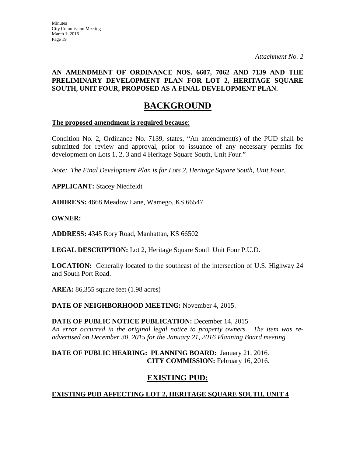### **AN AMENDMENT OF ORDINANCE NOS. 6607, 7062 AND 7139 AND THE PRELIMINARY DEVELOPMENT PLAN FOR LOT 2, HERITAGE SQUARE SOUTH, UNIT FOUR, PROPOSED AS A FINAL DEVELOPMENT PLAN.**

# **BACKGROUND**

#### **The proposed amendment is required because**:

Condition No. 2, Ordinance No. 7139, states, "An amendment(s) of the PUD shall be submitted for review and approval, prior to issuance of any necessary permits for development on Lots 1, 2, 3 and 4 Heritage Square South, Unit Four."

*Note: The Final Development Plan is for Lots 2, Heritage Square South, Unit Four.* 

**APPLICANT:** Stacey Niedfeldt

**ADDRESS:** 4668 Meadow Lane, Wamego, KS 66547

#### **OWNER:**

**ADDRESS:** 4345 Rory Road, Manhattan, KS 66502

**LEGAL DESCRIPTION:** Lot 2, Heritage Square South Unit Four P.U.D.

**LOCATION:** Generally located to the southeast of the intersection of U.S. Highway 24 and South Port Road.

**AREA:** 86,355 square feet (1.98 acres)

**DATE OF NEIGHBORHOOD MEETING:** November 4, 2015.

**DATE OF PUBLIC NOTICE PUBLICATION:** December 14, 2015 *An error occurred in the original legal notice to property owners. The item was readvertised on December 30, 2015 for the January 21, 2016 Planning Board meeting.* 

#### **DATE OF PUBLIC HEARING: PLANNING BOARD:** January 21, 2016. **CITY COMMISSION:** February 16, 2016.

## **EXISTING PUD:**

## **EXISTING PUD AFFECTING LOT 2, HERITAGE SQUARE SOUTH, UNIT 4**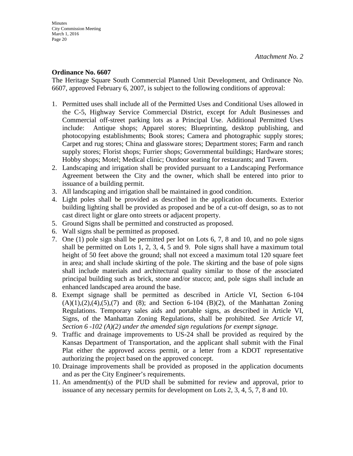#### **Ordinance No. 6607**

The Heritage Square South Commercial Planned Unit Development, and Ordinance No. 6607, approved February 6, 2007, is subject to the following conditions of approval:

- 1. Permitted uses shall include all of the Permitted Uses and Conditional Uses allowed in the C-5, Highway Service Commercial District, except for Adult Businesses and Commercial off-street parking lots as a Principal Use. Additional Permitted Uses include: Antique shops; Apparel stores; Blueprinting, desktop publishing, and photocopying establishments; Book stores; Camera and photographic supply stores; Carpet and rug stores; China and glassware stores; Department stores; Farm and ranch supply stores; Florist shops; Furrier shops; Governmental buildings; Hardware stores; Hobby shops; Motel; Medical clinic; Outdoor seating for restaurants; and Tavern.
- 2. Landscaping and irrigation shall be provided pursuant to a Landscaping Performance Agreement between the City and the owner, which shall be entered into prior to issuance of a building permit.
- 3. All landscaping and irrigation shall be maintained in good condition.
- 4. Light poles shall be provided as described in the application documents. Exterior building lighting shall be provided as proposed and be of a cut-off design, so as to not cast direct light or glare onto streets or adjacent property.
- 5. Ground Signs shall be permitted and constructed as proposed.
- 6. Wall signs shall be permitted as proposed.
- 7. One (1) pole sign shall be permitted per lot on Lots 6, 7, 8 and 10, and no pole signs shall be permitted on Lots 1, 2, 3, 4, 5 and 9. Pole signs shall have a maximum total height of 50 feet above the ground; shall not exceed a maximum total 120 square feet in area; and shall include skirting of the pole. The skirting and the base of pole signs shall include materials and architectural quality similar to those of the associated principal building such as brick, stone and/or stucco; and, pole signs shall include an enhanced landscaped area around the base.
- 8. Exempt signage shall be permitted as described in Article VI, Section 6-104  $(A)(1),(2),(4),(5),(7)$  and  $(8)$ ; and Section 6-104  $(B)(2)$ , of the Manhattan Zoning Regulations. Temporary sales aids and portable signs, as described in Article VI, Signs, of the Manhattan Zoning Regulations, shall be prohibited. *See Article VI, Section 6 -102 (A)(2) under the amended sign regulations for exempt signage.*
- 9. Traffic and drainage improvements to US-24 shall be provided as required by the Kansas Department of Transportation, and the applicant shall submit with the Final Plat either the approved access permit, or a letter from a KDOT representative authorizing the project based on the approved concept.
- 10. Drainage improvements shall be provided as proposed in the application documents and as per the City Engineer's requirements.
- 11. An amendment(s) of the PUD shall be submitted for review and approval, prior to issuance of any necessary permits for development on Lots 2, 3, 4, 5, 7, 8 and 10.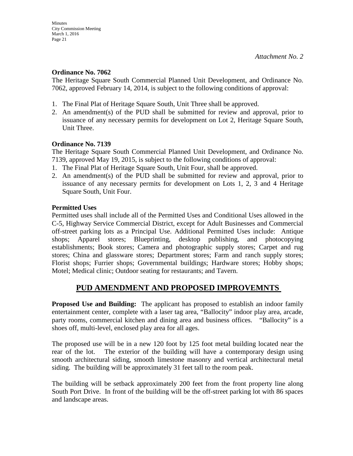#### **Ordinance No. 7062**

The Heritage Square South Commercial Planned Unit Development, and Ordinance No. 7062, approved February 14, 2014, is subject to the following conditions of approval:

- 1. The Final Plat of Heritage Square South, Unit Three shall be approved.
- 2. An amendment(s) of the PUD shall be submitted for review and approval, prior to issuance of any necessary permits for development on Lot 2, Heritage Square South, Unit Three.

#### **Ordinance No. 7139**

The Heritage Square South Commercial Planned Unit Development, and Ordinance No. 7139, approved May 19, 2015, is subject to the following conditions of approval:

- 1. The Final Plat of Heritage Square South, Unit Four, shall be approved.
- 2. An amendment(s) of the PUD shall be submitted for review and approval, prior to issuance of any necessary permits for development on Lots 1, 2, 3 and 4 Heritage Square South, Unit Four.

### **Permitted Uses**

Permitted uses shall include all of the Permitted Uses and Conditional Uses allowed in the C-5, Highway Service Commercial District, except for Adult Businesses and Commercial off-street parking lots as a Principal Use. Additional Permitted Uses include: Antique shops; Apparel stores; Blueprinting, desktop publishing, and photocopying establishments; Book stores; Camera and photographic supply stores; Carpet and rug stores; China and glassware stores; Department stores; Farm and ranch supply stores; Florist shops; Furrier shops; Governmental buildings; Hardware stores; Hobby shops; Motel; Medical clinic; Outdoor seating for restaurants; and Tavern.

## **PUD AMENDMENT AND PROPOSED IMPROVEMNTS**

**Proposed Use and Building:** The applicant has proposed to establish an indoor family entertainment center, complete with a laser tag area, "Ballocity" indoor play area, arcade, party rooms, commercial kitchen and dining area and business offices. "Ballocity" is a shoes off, multi-level, enclosed play area for all ages.

The proposed use will be in a new 120 foot by 125 foot metal building located near the rear of the lot. The exterior of the building will have a contemporary design using smooth architectural siding, smooth limestone masonry and vertical architectural metal siding. The building will be approximately 31 feet tall to the room peak.

The building will be setback approximately 200 feet from the front property line along South Port Drive. In front of the building will be the off-street parking lot with 86 spaces and landscape areas.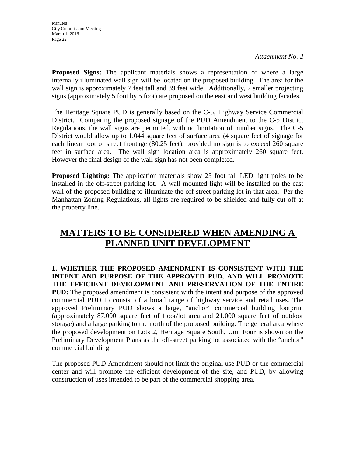**Proposed Signs:** The applicant materials shows a representation of where a large internally illuminated wall sign will be located on the proposed building. The area for the wall sign is approximately 7 feet tall and 39 feet wide. Additionally, 2 smaller projecting signs (approximately 5 foot by 5 foot) are proposed on the east and west building facades.

The Heritage Square PUD is generally based on the C-5, Highway Service Commercial District. Comparing the proposed signage of the PUD Amendment to the C-5 District Regulations, the wall signs are permitted, with no limitation of number signs. The C-5 District would allow up to 1,044 square feet of surface area (4 square feet of signage for each linear foot of street frontage (80.25 feet), provided no sign is to exceed 260 square feet in surface area. The wall sign location area is approximately 260 square feet. However the final design of the wall sign has not been completed.

**Proposed Lighting:** The application materials show 25 foot tall LED light poles to be installed in the off-street parking lot. A wall mounted light will be installed on the east wall of the proposed building to illuminate the off-street parking lot in that area. Per the Manhattan Zoning Regulations, all lights are required to be shielded and fully cut off at the property line.

# **MATTERS TO BE CONSIDERED WHEN AMENDING A PLANNED UNIT DEVELOPMENT**

**1. WHETHER THE PROPOSED AMENDMENT IS CONSISTENT WITH THE INTENT AND PURPOSE OF THE APPROVED PUD, AND WILL PROMOTE THE EFFICIENT DEVELOPMENT AND PRESERVATION OF THE ENTIRE PUD:** The proposed amendment is consistent with the intent and purpose of the approved commercial PUD to consist of a broad range of highway service and retail uses. The approved Preliminary PUD shows a large, "anchor" commercial building footprint (approximately 87,000 square feet of floor/lot area and 21,000 square feet of outdoor storage) and a large parking to the north of the proposed building. The general area where the proposed development on Lots 2, Heritage Square South, Unit Four is shown on the Preliminary Development Plans as the off-street parking lot associated with the "anchor" commercial building.

The proposed PUD Amendment should not limit the original use PUD or the commercial center and will promote the efficient development of the site, and PUD, by allowing construction of uses intended to be part of the commercial shopping area.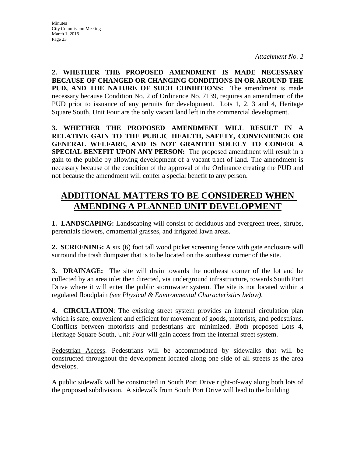**2. WHETHER THE PROPOSED AMENDMENT IS MADE NECESSARY BECAUSE OF CHANGED OR CHANGING CONDITIONS IN OR AROUND THE PUD, AND THE NATURE OF SUCH CONDITIONS:** The amendment is made necessary because Condition No. 2 of Ordinance No. 7139, requires an amendment of the PUD prior to issuance of any permits for development. Lots 1, 2, 3 and 4, Heritage Square South, Unit Four are the only vacant land left in the commercial development.

**3. WHETHER THE PROPOSED AMENDMENT WILL RESULT IN A RELATIVE GAIN TO THE PUBLIC HEALTH, SAFETY, CONVENIENCE OR GENERAL WELFARE, AND IS NOT GRANTED SOLELY TO CONFER A SPECIAL BENEFIT UPON ANY PERSON:** The proposed amendment will result in a gain to the public by allowing development of a vacant tract of land. The amendment is necessary because of the condition of the approval of the Ordinance creating the PUD and not because the amendment will confer a special benefit to any person.

# **ADDITIONAL MATTERS TO BE CONSIDERED WHEN AMENDING A PLANNED UNIT DEVELOPMENT**

**1. LANDSCAPING:** Landscaping will consist of deciduous and evergreen trees, shrubs, perennials flowers, ornamental grasses, and irrigated lawn areas.

**2. SCREENING:** A six (6) foot tall wood picket screening fence with gate enclosure will surround the trash dumpster that is to be located on the southeast corner of the site.

**3. DRAINAGE:** The site will drain towards the northeast corner of the lot and be collected by an area inlet then directed, via underground infrastructure, towards South Port Drive where it will enter the public stormwater system. The site is not located within a regulated floodplain *(see Physical & Environmental Characteristics below)*.

**4. CIRCULATION**: The existing street system provides an internal circulation plan which is safe, convenient and efficient for movement of goods, motorists, and pedestrians. Conflicts between motorists and pedestrians are minimized. Both proposed Lots 4, Heritage Square South, Unit Four will gain access from the internal street system.

Pedestrian Access. Pedestrians will be accommodated by sidewalks that will be constructed throughout the development located along one side of all streets as the area develops.

A public sidewalk will be constructed in South Port Drive right-of-way along both lots of the proposed subdivision. A sidewalk from South Port Drive will lead to the building.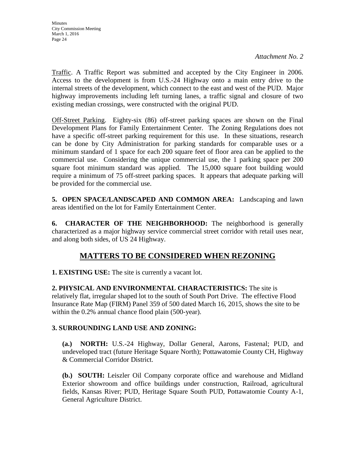Traffic. A Traffic Report was submitted and accepted by the City Engineer in 2006. Access to the development is from U.S.-24 Highway onto a main entry drive to the internal streets of the development, which connect to the east and west of the PUD. Major highway improvements including left turning lanes, a traffic signal and closure of two existing median crossings, were constructed with the original PUD.

Off-Street Parking. Eighty-six (86) off-street parking spaces are shown on the Final Development Plans for Family Entertainment Center. The Zoning Regulations does not have a specific off-street parking requirement for this use. In these situations, research can be done by City Administration for parking standards for comparable uses or a minimum standard of 1 space for each 200 square feet of floor area can be applied to the commercial use. Considering the unique commercial use, the 1 parking space per 200 square foot minimum standard was applied. The 15,000 square foot building would require a minimum of 75 off-street parking spaces. It appears that adequate parking will be provided for the commercial use.

**5. OPEN SPACE/LANDSCAPED AND COMMON AREA:** Landscaping and lawn areas identified on the lot for Family Entertainment Center.

**6. CHARACTER OF THE NEIGHBORHOOD:** The neighborhood is generally characterized as a major highway service commercial street corridor with retail uses near, and along both sides, of US 24 Highway.

# **MATTERS TO BE CONSIDERED WHEN REZONING**

**1. EXISTING USE:** The site is currently a vacant lot.

**2. PHYSICAL AND ENVIRONMENTAL CHARACTERISTICS:** The site is relatively flat, irregular shaped lot to the south of South Port Drive. The effective Flood Insurance Rate Map (FIRM) Panel 359 of 500 dated March 16, 2015, shows the site to be within the 0.2% annual chance flood plain (500-year).

## **3. SURROUNDING LAND USE AND ZONING:**

**(a.) NORTH:** U.S.-24 Highway, Dollar General, Aarons, Fastenal; PUD, and undeveloped tract (future Heritage Square North); Pottawatomie County CH, Highway & Commercial Corridor District.

**(b.) SOUTH:** Leiszler Oil Company corporate office and warehouse and Midland Exterior showroom and office buildings under construction, Railroad, agricultural fields, Kansas River; PUD, Heritage Square South PUD, Pottawatomie County A-1, General Agriculture District.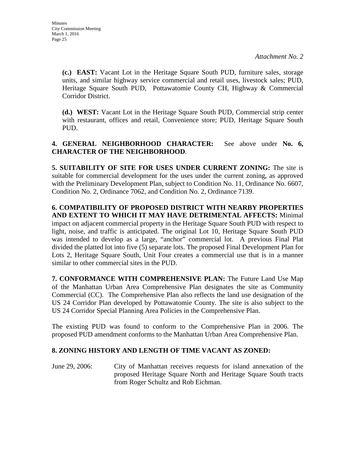**(c.) EAST:** Vacant Lot in the Heritage Square South PUD, furniture sales, storage units, and similar highway service commercial and retail uses, livestock sales; PUD, Heritage Square South PUD, Pottawatomie County CH, Highway & Commercial Corridor District.

**(d.) WEST:** Vacant Lot in the Heritage Square South PUD, Commercial strip center with restaurant, offices and retail, Convenience store; PUD, Heritage Square South PUD.

**4. GENERAL NEIGHBORHOOD CHARACTER:** See above under **No. 6, CHARACTER OF THE NEIGHBORHOOD**.

**5. SUITABILITY OF SITE FOR USES UNDER CURRENT ZONING:** The site is suitable for commercial development for the uses under the current zoning, as approved with the Preliminary Development Plan, subject to Condition No. 11, Ordinance No. 6607, Condition No. 2, Ordinance 7062, and Condition No. 2, Ordinance 7139.

**6. COMPATIBILITY OF PROPOSED DISTRICT WITH NEARBY PROPERTIES AND EXTENT TO WHICH IT MAY HAVE DETRIMENTAL AFFECTS:** Minimal impact on adjacent commercial property in the Heritage Square South PUD with respect to light, noise, and traffic is anticipated. The original Lot 10, Heritage Square South PUD was intended to develop as a large, "anchor" commercial lot. A previous Final Plat divided the platted lot into five (5) separate lots. The proposed Final Development Plan for Lots 2, Heritage Square South, Unit Four creates a commercial use that is in a manner similar to other commercial sites in the PUD.

**7. CONFORMANCE WITH COMPREHENSIVE PLAN:** The Future Land Use Map of the Manhattan Urban Area Comprehensive Plan designates the site as Community Commercial (CC). The Comprehensive Plan also reflects the land use designation of the US 24 Corridor Plan developed by Pottawatomie County. The site is also subject to the US 24 Corridor Special Planning Area Policies in the Comprehensive Plan.

The existing PUD was found to conform to the Comprehensive Plan in 2006. The proposed PUD amendment conforms to the Manhattan Urban Area Comprehensive Plan.

## **8. ZONING HISTORY AND LENGTH OF TIME VACANT AS ZONED:**

June 29, 2006: City of Manhattan receives requests for island annexation of the proposed Heritage Square North and Heritage Square South tracts from Roger Schultz and Rob Eichman.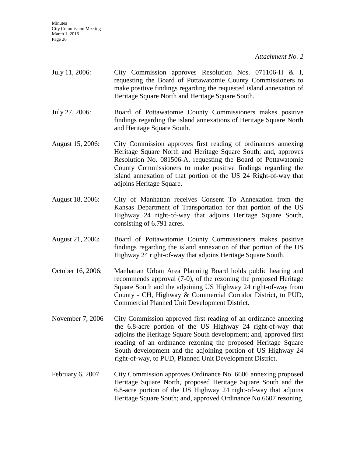- July 11, 2006: City Commission approves Resolution Nos. 071106-H & I, requesting the Board of Pottawatomie County Commissioners to make positive findings regarding the requested island annexation of Heritage Square North and Heritage Square South.
- July 27, 2006: Board of Pottawatomie County Commissioners makes positive findings regarding the island annexations of Heritage Square North and Heritage Square South.
- August 15, 2006: City Commission approves first reading of ordinances annexing Heritage Square North and Heritage Square South; and, approves Resolution No. 081506-A, requesting the Board of Pottawatomie County Commissioners to make positive findings regarding the island annexation of that portion of the US 24 Right-of-way that adjoins Heritage Square.
- August 18, 2006: City of Manhattan receives Consent To Annexation from the Kansas Department of Transportation for that portion of the US Highway 24 right-of-way that adjoins Heritage Square South, consisting of 6.791 acres.
- August 21, 2006: Board of Pottawatomie County Commissioners makes positive findings regarding the island annexation of that portion of the US Highway 24 right-of-way that adjoins Heritage Square South.
- October 16, 2006; Manhattan Urban Area Planning Board holds public hearing and recommends approval (7-0), of the rezoning the proposed Heritage Square South and the adjoining US Highway 24 right-of-way from County - CH, Highway & Commercial Corridor District, to PUD, Commercial Planned Unit Development District.
- November 7, 2006 City Commission approved first reading of an ordinance annexing the 6.8-acre portion of the US Highway 24 right-of-way that adjoins the Heritage Square South development; and, approved first reading of an ordinance rezoning the proposed Heritage Square South development and the adjoining portion of US Highway 24 right-of-way, to PUD, Planned Unit Development District.
- February 6, 2007 City Commission approves Ordinance No. 6606 annexing proposed Heritage Square North, proposed Heritage Square South and the 6.8-acre portion of the US Highway 24 right-of-way that adjoins Heritage Square South; and, approved Ordinance No.6607 rezoning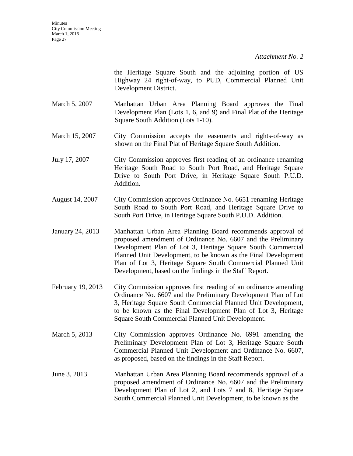the Heritage Square South and the adjoining portion of US Highway 24 right-of-way, to PUD, Commercial Planned Unit Development District.

- March 5, 2007 Manhattan Urban Area Planning Board approves the Final Development Plan (Lots 1, 6, and 9) and Final Plat of the Heritage Square South Addition (Lots 1-10).
- March 15, 2007 City Commission accepts the easements and rights-of-way as shown on the Final Plat of Heritage Square South Addition.
- July 17, 2007 City Commission approves first reading of an ordinance renaming Heritage South Road to South Port Road, and Heritage Square Drive to South Port Drive, in Heritage Square South P.U.D. Addition.
- August 14, 2007 City Commission approves Ordinance No. 6651 renaming Heritage South Road to South Port Road, and Heritage Square Drive to South Port Drive, in Heritage Square South P.U.D. Addition.
- January 24, 2013 Manhattan Urban Area Planning Board recommends approval of proposed amendment of Ordinance No. 6607 and the Preliminary Development Plan of Lot 3, Heritage Square South Commercial Planned Unit Development, to be known as the Final Development Plan of Lot 3, Heritage Square South Commercial Planned Unit Development, based on the findings in the Staff Report.
- February 19, 2013 City Commission approves first reading of an ordinance amending Ordinance No. 6607 and the Preliminary Development Plan of Lot 3, Heritage Square South Commercial Planned Unit Development, to be known as the Final Development Plan of Lot 3, Heritage Square South Commercial Planned Unit Development.
- March 5, 2013 City Commission approves Ordinance No. 6991 amending the Preliminary Development Plan of Lot 3, Heritage Square South Commercial Planned Unit Development and Ordinance No. 6607, as proposed, based on the findings in the Staff Report.
- June 3, 2013 Manhattan Urban Area Planning Board recommends approval of a proposed amendment of Ordinance No. 6607 and the Preliminary Development Plan of Lot 2, and Lots 7 and 8, Heritage Square South Commercial Planned Unit Development, to be known as the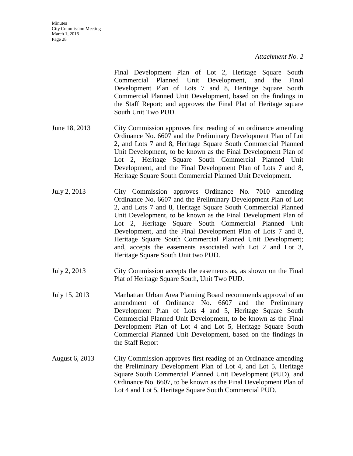Final Development Plan of Lot 2, Heritage Square South Commercial Planned Unit Development, and the Final Development Plan of Lots 7 and 8, Heritage Square South Commercial Planned Unit Development, based on the findings in the Staff Report; and approves the Final Plat of Heritage square South Unit Two PUD.

- June 18, 2013 City Commission approves first reading of an ordinance amending Ordinance No. 6607 and the Preliminary Development Plan of Lot 2, and Lots 7 and 8, Heritage Square South Commercial Planned Unit Development, to be known as the Final Development Plan of Lot 2, Heritage Square South Commercial Planned Unit Development, and the Final Development Plan of Lots 7 and 8, Heritage Square South Commercial Planned Unit Development.
- July 2, 2013 City Commission approves Ordinance No. 7010 amending Ordinance No. 6607 and the Preliminary Development Plan of Lot 2, and Lots 7 and 8, Heritage Square South Commercial Planned Unit Development, to be known as the Final Development Plan of Lot 2, Heritage Square South Commercial Planned Unit Development, and the Final Development Plan of Lots 7 and 8, Heritage Square South Commercial Planned Unit Development; and, accepts the easements associated with Lot 2 and Lot 3, Heritage Square South Unit two PUD.
- July 2, 2013 City Commission accepts the easements as, as shown on the Final Plat of Heritage Square South, Unit Two PUD.
- July 15, 2013 Manhattan Urban Area Planning Board recommends approval of an amendment of Ordinance No. 6607 and the Preliminary Development Plan of Lots 4 and 5, Heritage Square South Commercial Planned Unit Development, to be known as the Final Development Plan of Lot 4 and Lot 5, Heritage Square South Commercial Planned Unit Development, based on the findings in the Staff Report
- August 6, 2013 City Commission approves first reading of an Ordinance amending the Preliminary Development Plan of Lot 4, and Lot 5, Heritage Square South Commercial Planned Unit Development (PUD), and Ordinance No. 6607, to be known as the Final Development Plan of Lot 4 and Lot 5, Heritage Square South Commercial PUD.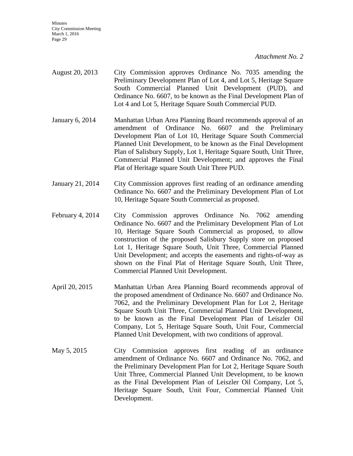**Minutes** City Commission Meeting March 1, 2016 Page 29

*Attachment No. 2*

- August 20, 2013 City Commission approves Ordinance No. 7035 amending the Preliminary Development Plan of Lot 4, and Lot 5, Heritage Square South Commercial Planned Unit Development (PUD), and Ordinance No. 6607, to be known as the Final Development Plan of Lot 4 and Lot 5, Heritage Square South Commercial PUD.
- January 6, 2014 Manhattan Urban Area Planning Board recommends approval of an amendment of Ordinance No. 6607 and the Preliminary Development Plan of Lot 10, Heritage Square South Commercial Planned Unit Development, to be known as the Final Development Plan of Salisbury Supply, Lot 1, Heritage Square South, Unit Three, Commercial Planned Unit Development; and approves the Final Plat of Heritage square South Unit Three PUD.
- January 21, 2014 City Commission approves first reading of an ordinance amending Ordinance No. 6607 and the Preliminary Development Plan of Lot 10, Heritage Square South Commercial as proposed.
- February 4, 2014 City Commission approves Ordinance No. 7062 amending Ordinance No. 6607 and the Preliminary Development Plan of Lot 10, Heritage Square South Commercial as proposed, to allow construction of the proposed Salisbury Supply store on proposed Lot 1, Heritage Square South, Unit Three, Commercial Planned Unit Development; and accepts the easements and rights-of-way as shown on the Final Plat of Heritage Square South, Unit Three, Commercial Planned Unit Development.
- April 20, 2015 Manhattan Urban Area Planning Board recommends approval of the proposed amendment of Ordinance No. 6607 and Ordinance No. 7062, and the Preliminary Development Plan for Lot 2, Heritage Square South Unit Three, Commercial Planned Unit Development, to be known as the Final Development Plan of Leiszler Oil Company, Lot 5, Heritage Square South, Unit Four, Commercial Planned Unit Development, with two conditions of approval.
- May 5, 2015 City Commission approves first reading of an ordinance amendment of Ordinance No. 6607 and Ordinance No. 7062, and the Preliminary Development Plan for Lot 2, Heritage Square South Unit Three, Commercial Planned Unit Development, to be known as the Final Development Plan of Leiszler Oil Company, Lot 5, Heritage Square South, Unit Four, Commercial Planned Unit Development.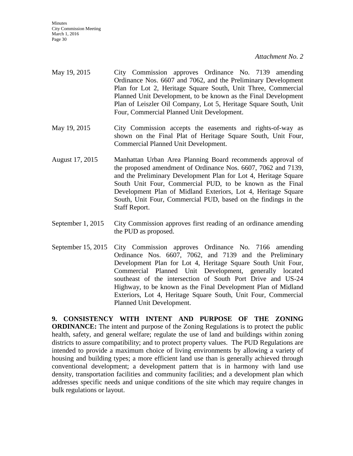- May 19, 2015 City Commission approves Ordinance No. 7139 amending Ordinance Nos. 6607 and 7062, and the Preliminary Development Plan for Lot 2, Heritage Square South, Unit Three, Commercial Planned Unit Development, to be known as the Final Development Plan of Leiszler Oil Company, Lot 5, Heritage Square South, Unit Four, Commercial Planned Unit Development.
- May 19, 2015 City Commission accepts the easements and rights-of-way as shown on the Final Plat of Heritage Square South, Unit Four, Commercial Planned Unit Development.
- August 17, 2015 Manhattan Urban Area Planning Board recommends approval of the proposed amendment of Ordinance Nos. 6607, 7062 and 7139, and the Preliminary Development Plan for Lot 4, Heritage Square South Unit Four, Commercial PUD, to be known as the Final Development Plan of Midland Exteriors, Lot 4, Heritage Square South, Unit Four, Commercial PUD, based on the findings in the Staff Report.
- September 1, 2015 City Commission approves first reading of an ordinance amending the PUD as proposed.
- September 15, 2015 City Commission approves Ordinance No. 7166 amending Ordinance Nos. 6607, 7062, and 7139 and the Preliminary Development Plan for Lot 4, Heritage Square South Unit Four, Commercial Planned Unit Development, generally located southeast of the intersection of South Port Drive and US-24 Highway, to be known as the Final Development Plan of Midland Exteriors, Lot 4, Heritage Square South, Unit Four, Commercial Planned Unit Development.

**9. CONSISTENCY WITH INTENT AND PURPOSE OF THE ZONING ORDINANCE:** The intent and purpose of the Zoning Regulations is to protect the public health, safety, and general welfare; regulate the use of land and buildings within zoning districts to assure compatibility; and to protect property values. The PUD Regulations are intended to provide a maximum choice of living environments by allowing a variety of housing and building types; a more efficient land use than is generally achieved through conventional development; a development pattern that is in harmony with land use density, transportation facilities and community facilities; and a development plan which addresses specific needs and unique conditions of the site which may require changes in bulk regulations or layout.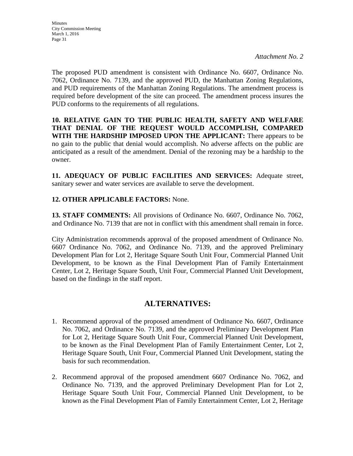The proposed PUD amendment is consistent with Ordinance No. 6607, Ordinance No. 7062, Ordinance No. 7139, and the approved PUD, the Manhattan Zoning Regulations, and PUD requirements of the Manhattan Zoning Regulations. The amendment process is required before development of the site can proceed. The amendment process insures the PUD conforms to the requirements of all regulations.

**10. RELATIVE GAIN TO THE PUBLIC HEALTH, SAFETY AND WELFARE THAT DENIAL OF THE REQUEST WOULD ACCOMPLISH, COMPARED WITH THE HARDSHIP IMPOSED UPON THE APPLICANT:** There appears to be no gain to the public that denial would accomplish. No adverse affects on the public are anticipated as a result of the amendment. Denial of the rezoning may be a hardship to the owner.

**11. ADEQUACY OF PUBLIC FACILITIES AND SERVICES:** Adequate street, sanitary sewer and water services are available to serve the development.

## **12. OTHER APPLICABLE FACTORS:** None.

**13. STAFF COMMENTS:** All provisions of Ordinance No. 6607, Ordinance No. 7062, and Ordinance No. 7139 that are not in conflict with this amendment shall remain in force.

City Administration recommends approval of the proposed amendment of Ordinance No. 6607 Ordinance No. 7062, and Ordinance No. 7139, and the approved Preliminary Development Plan for Lot 2, Heritage Square South Unit Four, Commercial Planned Unit Development, to be known as the Final Development Plan of Family Entertainment Center, Lot 2, Heritage Square South, Unit Four, Commercial Planned Unit Development, based on the findings in the staff report.

# **ALTERNATIVES:**

- 1. Recommend approval of the proposed amendment of Ordinance No. 6607, Ordinance No. 7062, and Ordinance No. 7139, and the approved Preliminary Development Plan for Lot 2, Heritage Square South Unit Four, Commercial Planned Unit Development, to be known as the Final Development Plan of Family Entertainment Center, Lot 2, Heritage Square South, Unit Four, Commercial Planned Unit Development, stating the basis for such recommendation.
- 2. Recommend approval of the proposed amendment 6607 Ordinance No. 7062, and Ordinance No. 7139, and the approved Preliminary Development Plan for Lot 2, Heritage Square South Unit Four, Commercial Planned Unit Development, to be known as the Final Development Plan of Family Entertainment Center, Lot 2, Heritage